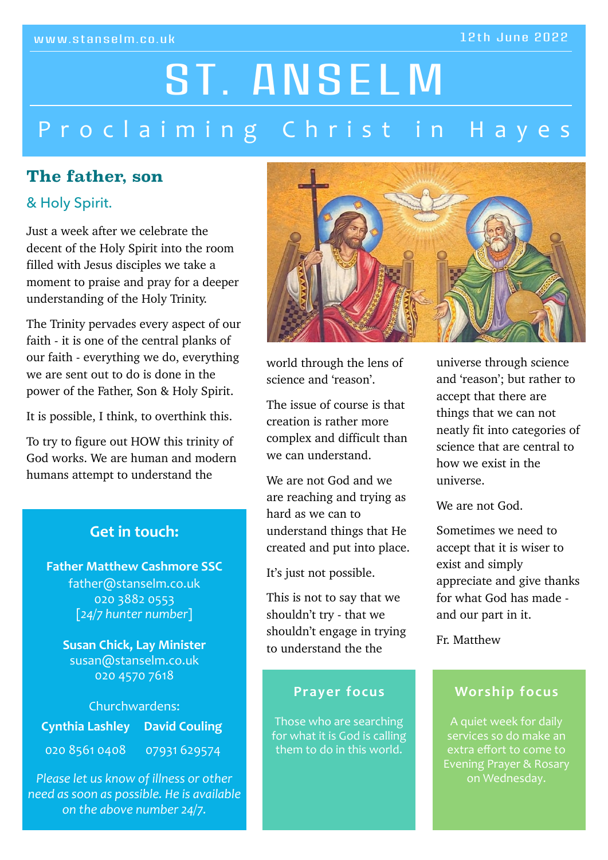#### 12th June 2022

# Proclaiming Christ in Hayes ST. ANSELM

# **The father, son**

#### & Holy Spirit.

Just a week after we celebrate the decent of the Holy Spirit into the room filled with Jesus disciples we take a moment to praise and pray for a deeper understanding of the Holy Trinity.

The Trinity pervades every aspect of our faith - it is one of the central planks of our faith - everything we do, everything we are sent out to do is done in the power of the Father, Son & Holy Spirit.

It is possible, I think, to overthink this.

To try to figure out HOW this trinity of God works. We are human and modern humans attempt to understand the

#### Get in touch:

**Father Matthew Cashmore SSC** father@stanselm.co.uk 020 3882 0553 [*24/7 hunter number*]

> **Susan Chick, Lay Minister** susan@stanselm.co.uk 020 4570 7618

Churchwardens: **Cynthia Lashley David Couling** 020 8561 0408 07931 629574

*Please let us know of illness or other need as soon as possible. He is available on the above number 24/7.*



world through the lens of science and 'reason'.

The issue of course is that creation is rather more complex and difficult than we can understand.

We are not God and we are reaching and trying as hard as we can to understand things that He created and put into place.

It's just not possible.

This is not to say that we shouldn't try - that we shouldn't engage in trying to understand the the

#### **Prayer focus**

Those who are searching for what it is God is calling them to do in this world.

universe through science and 'reason'; but rather to accept that there are things that we can not neatly fit into categories of science that are central to how we exist in the universe.

We are not God.

Sometimes we need to accept that it is wiser to exist and simply appreciate and give thanks for what God has made and our part in it.

Fr. Matthew

#### **Worship focus**

A quiet week for daily services so do make an extra effort to come to Evening Prayer & Rosary on Wednesday.